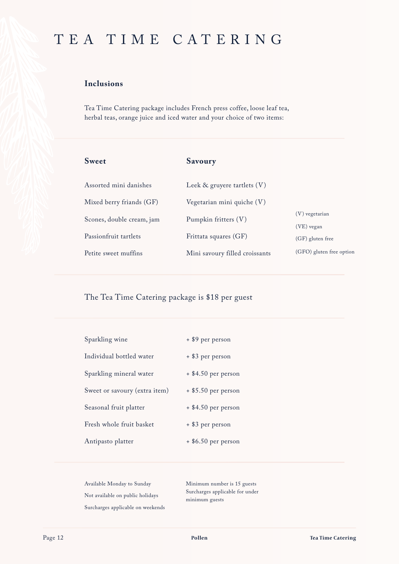## TEA TIME CATERING

## **Inclusions**

Tea Time Catering package includes French press coffee, loose leaf tea, herbal teas, orange juice and iced water and your choice of two items:

| <b>Sweet</b>              | Savoury                          |                          |
|---------------------------|----------------------------------|--------------------------|
| Assorted mini danishes    | Leek $\&$ gruyere tartlets $(V)$ |                          |
| Mixed berry friands (GF)  | Vegetarian mini quiche $(V)$     |                          |
| Scones, double cream, jam | Pumpkin fritters (V)             | $(V)$ vegetarian         |
|                           |                                  | $(VE)$ vegan             |
| Passionfruit tartlets     | Frittata squares (GF)            | $(GF)$ gluten free       |
| Petite sweet muffins      | Mini savoury filled croissants   | (GFO) gluten free option |

The Tea Time Catering package is \$18 per guest

| Sparkling wine                | + \$9 per person      |
|-------------------------------|-----------------------|
| Individual bottled water      | + \$3 per person      |
| Sparkling mineral water       | $+$ \$4.50 per person |
| Sweet or savoury (extra item) | $+$ \$5.50 per person |
| Seasonal fruit platter        | $+$ \$4.50 per person |
| Fresh whole fruit basket      | + \$3 per person      |
| Antipasto platter             | $+$ \$6.50 per person |

Available Monday to Sunday Not available on public holidays Surcharges applicable on weekends Minimum number is 15 guests Surcharges applicable for under minimum guests